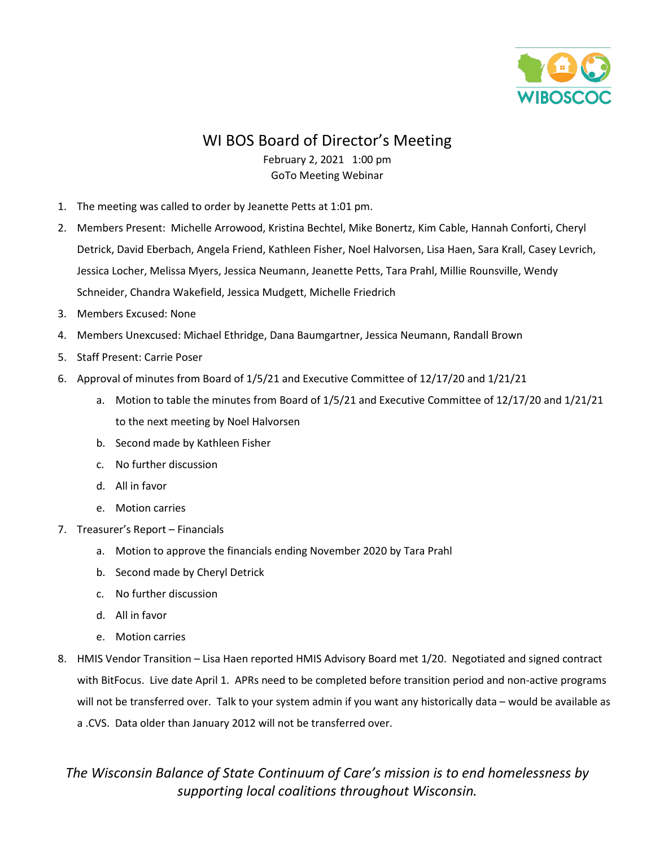

## WI BOS Board of Director's Meeting

## February 2, 2021 1:00 pm GoTo Meeting Webinar

- 1. The meeting was called to order by Jeanette Petts at 1:01 pm.
- 2. Members Present: Michelle Arrowood, Kristina Bechtel, Mike Bonertz, Kim Cable, Hannah Conforti, Cheryl Detrick, David Eberbach, Angela Friend, Kathleen Fisher, Noel Halvorsen, Lisa Haen, Sara Krall, Casey Levrich, Jessica Locher, Melissa Myers, Jessica Neumann, Jeanette Petts, Tara Prahl, Millie Rounsville, Wendy Schneider, Chandra Wakefield, Jessica Mudgett, Michelle Friedrich
- 3. Members Excused: None
- 4. Members Unexcused: Michael Ethridge, Dana Baumgartner, Jessica Neumann, Randall Brown
- 5. Staff Present: Carrie Poser
- 6. Approval of minutes from Board of 1/5/21 and Executive Committee of 12/17/20 and 1/21/21
	- a. Motion to table the minutes from Board of 1/5/21 and Executive Committee of 12/17/20 and 1/21/21 to the next meeting by Noel Halvorsen
	- b. Second made by Kathleen Fisher
	- c. No further discussion
	- d. All in favor
	- e. Motion carries
- 7. Treasurer's Report Financials
	- a. Motion to approve the financials ending November 2020 by Tara Prahl
	- b. Second made by Cheryl Detrick
	- c. No further discussion
	- d. All in favor
	- e. Motion carries
- 8. HMIS Vendor Transition Lisa Haen reported HMIS Advisory Board met 1/20. Negotiated and signed contract with BitFocus. Live date April 1. APRs need to be completed before transition period and non-active programs will not be transferred over. Talk to your system admin if you want any historically data – would be available as a .CVS. Data older than January 2012 will not be transferred over.

## *The Wisconsin Balance of State Continuum of Care's mission is to end homelessness by supporting local coalitions throughout Wisconsin.*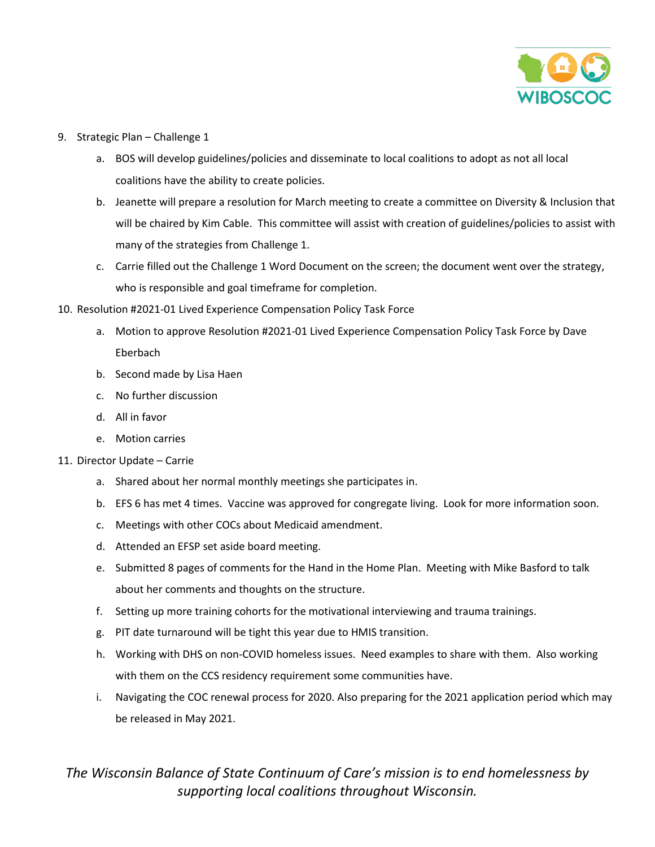

- 9. Strategic Plan Challenge 1
	- a. BOS will develop guidelines/policies and disseminate to local coalitions to adopt as not all local coalitions have the ability to create policies.
	- b. Jeanette will prepare a resolution for March meeting to create a committee on Diversity & Inclusion that will be chaired by Kim Cable. This committee will assist with creation of guidelines/policies to assist with many of the strategies from Challenge 1.
	- c. Carrie filled out the Challenge 1 Word Document on the screen; the document went over the strategy, who is responsible and goal timeframe for completion.
- 10. Resolution #2021-01 Lived Experience Compensation Policy Task Force
	- a. Motion to approve Resolution #2021-01 Lived Experience Compensation Policy Task Force by Dave Eberbach
	- b. Second made by Lisa Haen
	- c. No further discussion
	- d. All in favor
	- e. Motion carries
- 11. Director Update Carrie
	- a. Shared about her normal monthly meetings she participates in.
	- b. EFS 6 has met 4 times. Vaccine was approved for congregate living. Look for more information soon.
	- c. Meetings with other COCs about Medicaid amendment.
	- d. Attended an EFSP set aside board meeting.
	- e. Submitted 8 pages of comments for the Hand in the Home Plan. Meeting with Mike Basford to talk about her comments and thoughts on the structure.
	- f. Setting up more training cohorts for the motivational interviewing and trauma trainings.
	- g. PIT date turnaround will be tight this year due to HMIS transition.
	- h. Working with DHS on non-COVID homeless issues. Need examples to share with them. Also working with them on the CCS residency requirement some communities have.
	- i. Navigating the COC renewal process for 2020. Also preparing for the 2021 application period which may be released in May 2021.

## *The Wisconsin Balance of State Continuum of Care's mission is to end homelessness by supporting local coalitions throughout Wisconsin.*